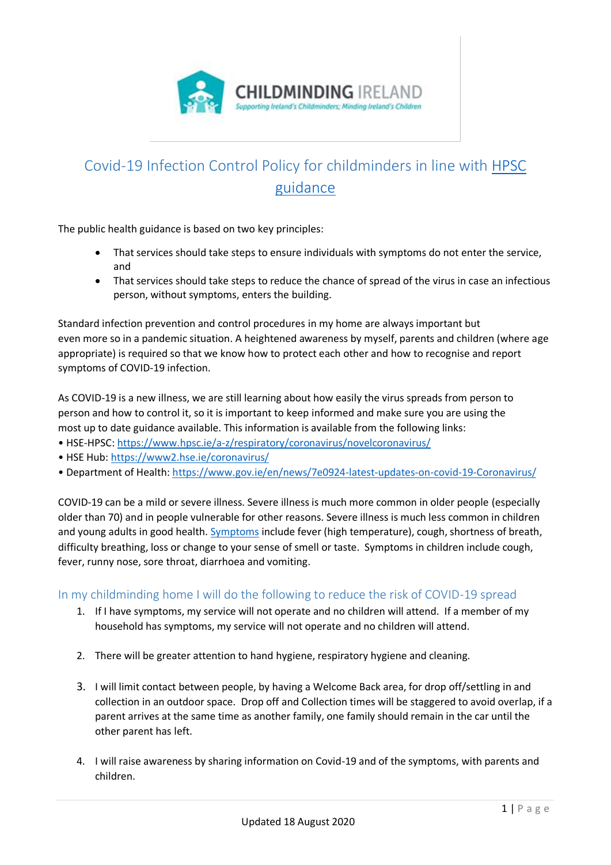

# Covid-19 Infection Control Policy for childminders in line with [HPSC](https://www.hpsc.ie/a-z/respiratory/coronavirus/novelcoronavirus/guidance/childcareguidance/)  [guidance](https://www.hpsc.ie/a-z/respiratory/coronavirus/novelcoronavirus/guidance/childcareguidance/)

The public health guidance is based on two key principles:

- That services should take steps to ensure individuals with symptoms do not enter the service, and
- That services should take steps to reduce the chance of spread of the virus in case an infectious person, without symptoms, enters the building.

Standard infection prevention and control procedures in my home are always important but even more so in a pandemic situation. A heightened awareness by myself, parents and children (where age appropriate) is required so that we know how to protect each other and how to recognise and report symptoms of COVID-19 infection.

As COVID-19 is a new illness, we are still learning about how easily the virus spreads from person to person and how to control it, so it is important to keep informed and make sure you are using the most up to date guidance available. This information is available from the following links:

- HSE-HPSC:<https://www.hpsc.ie/a-z/respiratory/coronavirus/novelcoronavirus/>
- HSE Hub: <https://www2.hse.ie/coronavirus/>
- Department of Health: <https://www.gov.ie/en/news/7e0924-latest-updates-on-covid-19-Coronavirus/>

COVID-19 can be a mild or severe illness. Severe illness is much more common in older people (especially older than 70) and in people vulnerable for other reasons. Severe illness is much less common in children and young adults in good health. [Symptoms](https://www2.hse.ie/conditions/coronavirus/symptoms.html) include fever (high temperature), cough, shortness of breath, difficulty breathing, loss or change to your sense of smell or taste. Symptoms in children include cough, fever, runny nose, sore throat, diarrhoea and vomiting.

## In my childminding home I will do the following to reduce the risk of COVID-19 spread

- 1. If I have symptoms, my service will not operate and no children will attend. If a member of my household has symptoms, my service will not operate and no children will attend.
- 2. There will be greater attention to hand hygiene, respiratory hygiene and cleaning.
- 3. I will limit contact between people, by having a Welcome Back area, for drop off/settling in and collection in an outdoor space. Drop off and Collection times will be staggered to avoid overlap, if a parent arrives at the same time as another family, one family should remain in the car until the other parent has left.
- 4. I will raise awareness by sharing information on Covid-19 and of the symptoms, with parents and children.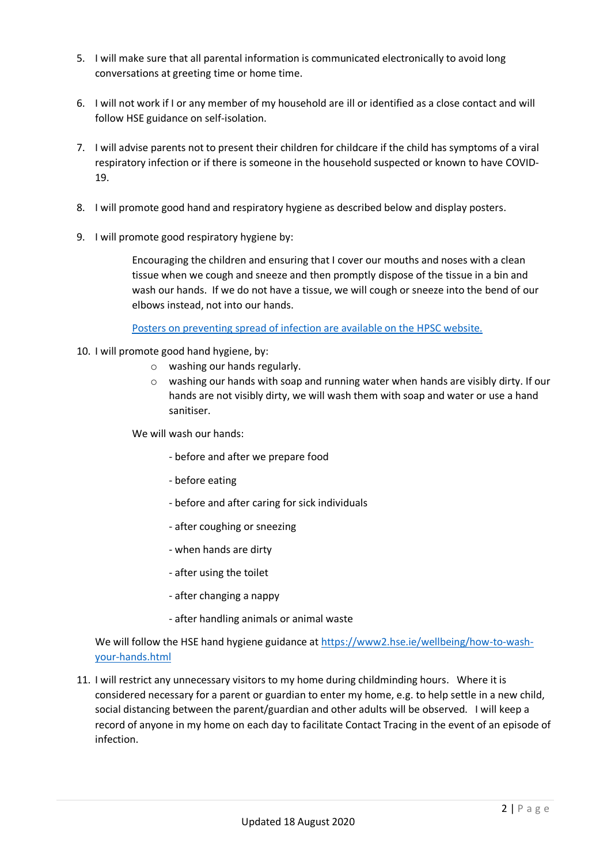- 5. I will make sure that all parental information is communicated electronically to avoid long conversations at greeting time or home time.
- 6. I will not work if I or any member of my household are ill or identified as a close contact and will follow HSE guidance on self-isolation.
- 7. I will advise parents not to present their children for childcare if the child has symptoms of a viral respiratory infection or if there is someone in the household suspected or known to have COVID-19.
- 8. I will promote good hand and respiratory hygiene as described below and display posters.
- 9. I will promote good respiratory hygiene by:

Encouraging the children and ensuring that I cover our mouths and noses with a clean tissue when we cough and sneeze and then promptly dispose of the tissue in a bin and wash our hands. If we do not have a tissue, we will cough or sneeze into the bend of our elbows instead, not into our hands.

Posters on preventing [spread of infection are available on the HPSC website.](https://www.hpsc.ie/a-z/respiratory/coronavirus/novelcoronavirus/posters/)

- 10. I will promote good hand hygiene, by:
	- o washing our hands regularly.
	- $\circ$  washing our hands with soap and running water when hands are visibly dirty. If our hands are not visibly dirty, we will wash them with soap and water or use a hand sanitiser.

We will wash our hands:

- before and after we prepare food
- before eating
- before and after caring for sick individuals
- after coughing or sneezing
- when hands are dirty
- after using the toilet
- after changing a nappy
- after handling animals or animal waste

We will follow the HSE hand hygiene guidance at [https://www2.hse.ie/wellbeing/how-to-wash](https://www2.hse.ie/wellbeing/how-to-wash-your-hands.html)[your-hands.html](https://www2.hse.ie/wellbeing/how-to-wash-your-hands.html)

11. I will restrict any unnecessary visitors to my home during childminding hours. Where it is considered necessary for a parent or guardian to enter my home, e.g. to help settle in a new child, social distancing between the parent/guardian and other adults will be observed. I will keep a record of anyone in my home on each day to facilitate Contact Tracing in the event of an episode of infection.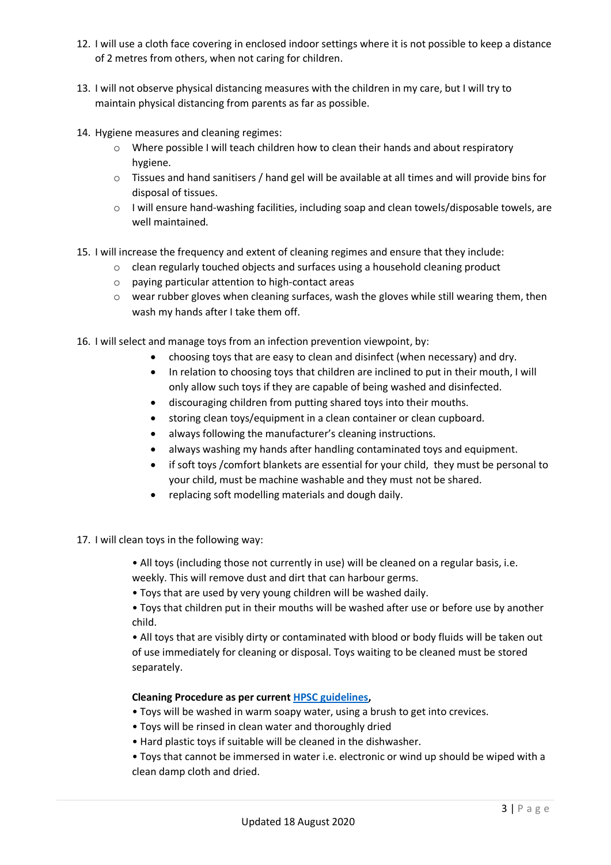- 12. I will use a cloth face covering in enclosed indoor settings where it is not possible to keep a distance of 2 metres from others, when not caring for children.
- 13. I will not observe physical distancing measures with the children in my care, but I will try to maintain physical distancing from parents as far as possible.
- 14. Hygiene measures and cleaning regimes:
	- o Where possible I will teach children how to clean their hands and about respiratory hygiene.
	- $\circ$  Tissues and hand sanitisers / hand gel will be available at all times and will provide bins for disposal of tissues.
	- o I will ensure hand-washing facilities, including soap and clean towels/disposable towels, are well maintained.
- 15. I will increase the frequency and extent of cleaning regimes and ensure that they include:
	- $\circ$  clean regularly touched objects and surfaces using a household cleaning product
	- o paying particular attention to high-contact areas
	- o wear rubber gloves when cleaning surfaces, wash the gloves while still wearing them, then wash my hands after I take them off.
- 16. I will select and manage toys from an infection prevention viewpoint, by:
	- choosing toys that are easy to clean and disinfect (when necessary) and dry.
	- In relation to choosing toys that children are inclined to put in their mouth, I will only allow such toys if they are capable of being washed and disinfected.
	- discouraging children from putting shared toys into their mouths.
	- storing clean toys/equipment in a clean container or clean cupboard.
	- always following the manufacturer's cleaning instructions.
	- always washing my hands after handling contaminated toys and equipment.
	- if soft toys /comfort blankets are essential for your child, they must be personal to your child, must be machine washable and they must not be shared.
	- replacing soft modelling materials and dough daily.
- 17. I will clean toys in the following way:
	- All toys (including those not currently in use) will be cleaned on a regular basis, i.e. weekly. This will remove dust and dirt that can harbour germs.
	- Toys that are used by very young children will be washed daily.

• Toys that children put in their mouths will be washed after use or before use by another child.

• All toys that are visibly dirty or contaminated with blood or body fluids will be taken out of use immediately for cleaning or disposal. Toys waiting to be cleaned must be stored separately.

#### **Cleaning Procedure as per current [HPSC guidelines,](https://www.hpsc.ie/a-z/respiratory/coronavirus/novelcoronavirus/guidance/childcareguidance/Infection%20Prevention%20and%20Control%20guidance%20for%20settings%20providing%20childcare%20during%20the%20COVID-19%20Pandemic.pdf)**

- Toys will be washed in warm soapy water, using a brush to get into crevices.
- Toys will be rinsed in clean water and thoroughly dried
- Hard plastic toys if suitable will be cleaned in the dishwasher.
- Toys that cannot be immersed in water i.e. electronic or wind up should be wiped with a clean damp cloth and dried.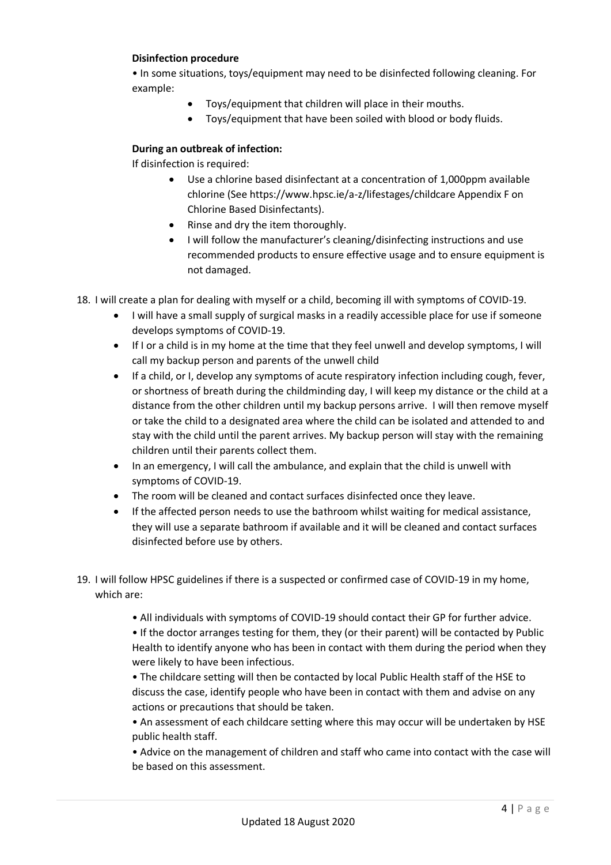#### **Disinfection procedure**

• In some situations, toys/equipment may need to be disinfected following cleaning. For example:

- Toys/equipment that children will place in their mouths.
- Toys/equipment that have been soiled with blood or body fluids.

### **During an outbreak of infection:**

If disinfection is required:

- Use a chlorine based disinfectant at a concentration of 1,000ppm available chlorine (See https://www.hpsc.ie/a-z/lifestages/childcare Appendix F on Chlorine Based Disinfectants).
- Rinse and dry the item thoroughly.
- I will follow the manufacturer's cleaning/disinfecting instructions and use recommended products to ensure effective usage and to ensure equipment is not damaged.

18. I will create a plan for dealing with myself or a child, becoming ill with symptoms of COVID-19.

- I will have a small supply of surgical masks in a readily accessible place for use if someone develops symptoms of COVID-19.
- If I or a child is in my home at the time that they feel unwell and develop symptoms, I will call my backup person and parents of the unwell child
- If a child, or I, develop any symptoms of acute respiratory infection including cough, fever, or shortness of breath during the childminding day, I will keep my distance or the child at a distance from the other children until my backup persons arrive. I will then remove myself or take the child to a designated area where the child can be isolated and attended to and stay with the child until the parent arrives. My backup person will stay with the remaining children until their parents collect them.
- In an emergency, I will call the ambulance, and explain that the child is unwell with symptoms of COVID-19.
- The room will be cleaned and contact surfaces disinfected once they leave.
- If the affected person needs to use the bathroom whilst waiting for medical assistance, they will use a separate bathroom if available and it will be cleaned and contact surfaces disinfected before use by others.
- 19. I will follow HPSC guidelines if there is a suspected or confirmed case of COVID-19 in my home, which are:
	- All individuals with symptoms of COVID-19 should contact their GP for further advice.

• If the doctor arranges testing for them, they (or their parent) will be contacted by Public Health to identify anyone who has been in contact with them during the period when they were likely to have been infectious.

• The childcare setting will then be contacted by local Public Health staff of the HSE to discuss the case, identify people who have been in contact with them and advise on any actions or precautions that should be taken.

• An assessment of each childcare setting where this may occur will be undertaken by HSE public health staff.

• Advice on the management of children and staff who came into contact with the case will be based on this assessment.